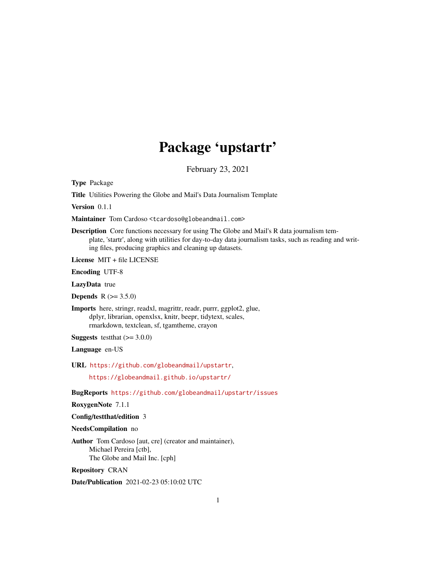# Package 'upstartr'

February 23, 2021

<span id="page-0-0"></span>Type Package

Title Utilities Powering the Globe and Mail's Data Journalism Template

Version 0.1.1

Maintainer Tom Cardoso <tcardoso@globeandmail.com>

Description Core functions necessary for using The Globe and Mail's R data journalism template, 'startr', along with utilities for day-to-day data journalism tasks, such as reading and writing files, producing graphics and cleaning up datasets.

License MIT + file LICENSE

Encoding UTF-8

LazyData true

**Depends**  $R (= 3.5.0)$ 

Imports here, stringr, readxl, magrittr, readr, purrr, ggplot2, glue, dplyr, librarian, openxlsx, knitr, beepr, tidytext, scales, rmarkdown, textclean, sf, tgamtheme, crayon

**Suggests** testthat  $(>= 3.0.0)$ 

Language en-US

URL <https://github.com/globeandmail/upstartr>,

<https://globeandmail.github.io/upstartr/>

BugReports <https://github.com/globeandmail/upstartr/issues>

RoxygenNote 7.1.1

Config/testthat/edition 3

NeedsCompilation no

Author Tom Cardoso [aut, cre] (creator and maintainer), Michael Pereira [ctb], The Globe and Mail Inc. [cph]

Repository CRAN

Date/Publication 2021-02-23 05:10:02 UTC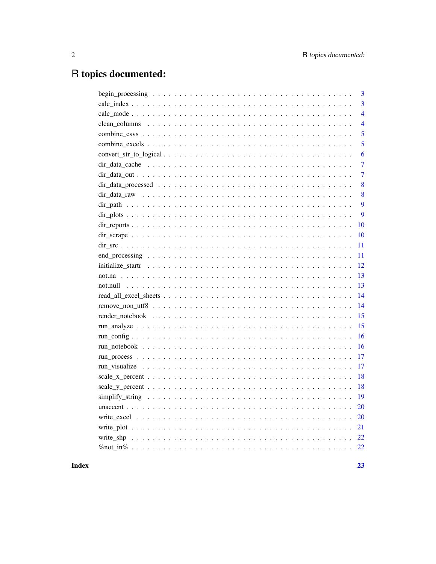## R topics documented:

## **Index**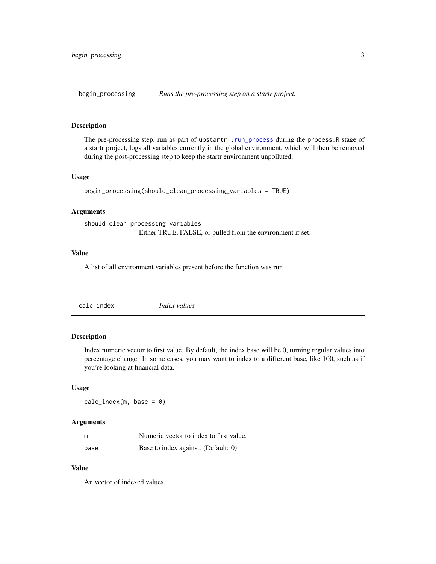<span id="page-2-1"></span><span id="page-2-0"></span>begin\_processing *Runs the pre-processing step on a startr project.*

#### Description

The pre-processing step, run as part of upstartr:[:run\\_process](#page-16-1) during the process.R stage of a startr project, logs all variables currently in the global environment, which will then be removed during the post-processing step to keep the startr environment unpolluted.

#### Usage

```
begin_processing(should_clean_processing_variables = TRUE)
```
#### Arguments

```
should_clean_processing_variables
                 Either TRUE, FALSE, or pulled from the environment if set.
```
#### Value

A list of all environment variables present before the function was run

calc\_index *Index values*

## Description

Index numeric vector to first value. By default, the index base will be 0, turning regular values into percentage change. In some cases, you may want to index to a different base, like 100, such as if you're looking at financial data.

#### Usage

 $calc\_index(m, base = 0)$ 

#### Arguments

| m    | Numeric vector to index to first value. |
|------|-----------------------------------------|
| base | Base to index against. (Default: 0)     |

#### Value

An vector of indexed values.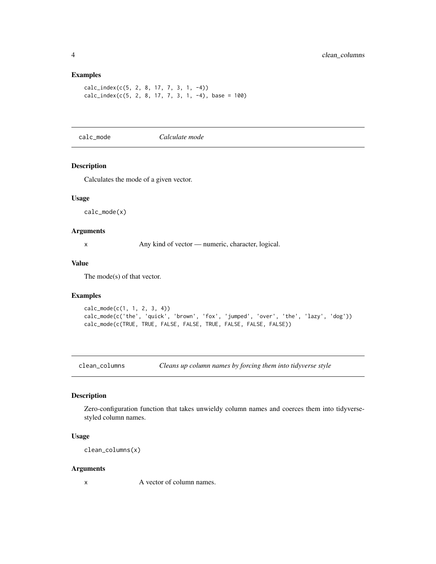#### Examples

```
calc_index(c(5, 2, 8, 17, 7, 3, 1, -4))
calc\_index(c(5, 2, 8, 17, 7, 3, 1, -4), base = 100)
```
calc\_mode *Calculate mode*

#### Description

Calculates the mode of a given vector.

#### Usage

calc\_mode(x)

## Arguments

x Any kind of vector — numeric, character, logical.

#### Value

The mode(s) of that vector.

#### Examples

```
calc_mode(c(1, 1, 2, 3, 4))
calc_mode(c('the', 'quick', 'brown', 'fox', 'jumped', 'over', 'the', 'lazy', 'dog'))
calc_mode(c(TRUE, TRUE, FALSE, FALSE, TRUE, FALSE, FALSE, FALSE))
```
clean\_columns *Cleans up column names by forcing them into tidyverse style*

## Description

Zero-configuration function that takes unwieldy column names and coerces them into tidyversestyled column names.

#### Usage

clean\_columns(x)

#### Arguments

x A vector of column names.

<span id="page-3-0"></span>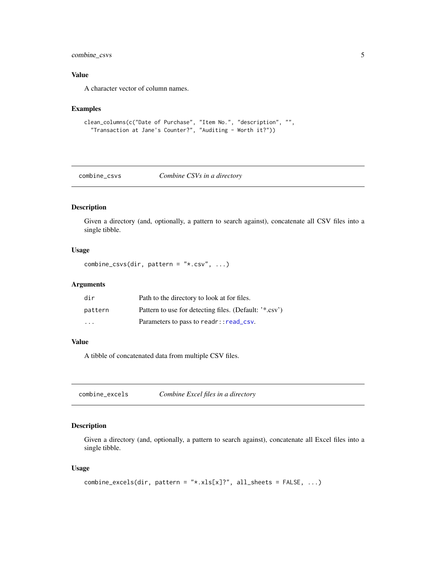## <span id="page-4-0"></span>combine\_csvs 5

## Value

A character vector of column names.

## Examples

```
clean_columns(c("Date of Purchase", "Item No.", "description", "",
  "Transaction at Jane's Counter?", "Auditing - Worth it?"))
```
combine\_csvs *Combine CSVs in a directory*

## Description

Given a directory (and, optionally, a pattern to search against), concatenate all CSV files into a single tibble.

## Usage

combine\_csvs(dir, pattern =  $"*.csv", ...)$ 

## Arguments

| dir                     | Path to the directory to look at for files.            |
|-------------------------|--------------------------------------------------------|
| pattern                 | Pattern to use for detecting files. (Default: '*.csv') |
| $\cdot$ $\cdot$ $\cdot$ | Parameters to pass to readr:: read_csv.                |

#### Value

A tibble of concatenated data from multiple CSV files.

combine\_excels *Combine Excel files in a directory*

## Description

Given a directory (and, optionally, a pattern to search against), concatenate all Excel files into a single tibble.

#### Usage

```
combine_excels(dir, pattern = "*.xls[x]?", all_sheets = FALSE, ...)
```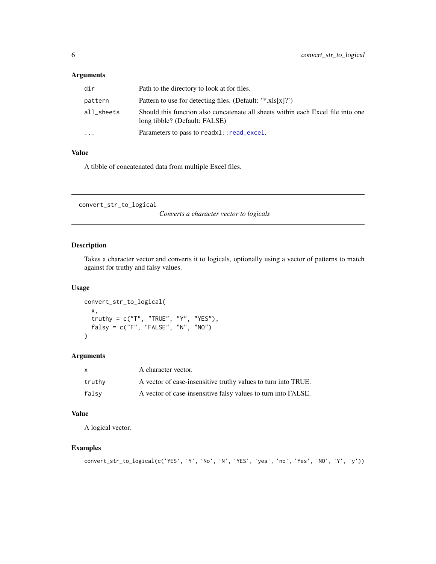## <span id="page-5-0"></span>Arguments

| dir        | Path to the directory to look at for files.                                                                       |
|------------|-------------------------------------------------------------------------------------------------------------------|
| pattern    | Pattern to use for detecting files. (Default: $'$ *.xls $[x]$ ?)                                                  |
| all sheets | Should this function also concatenate all sheets within each Excel file into one<br>long tibble? (Default: FALSE) |
| $\ddots$   | Parameters to pass to readx1::read_excel.                                                                         |
|            |                                                                                                                   |

## Value

A tibble of concatenated data from multiple Excel files.

convert\_str\_to\_logical

*Converts a character vector to logicals*

## Description

Takes a character vector and converts it to logicals, optionally using a vector of patterns to match against for truthy and falsy values.

#### Usage

```
convert_str_to_logical(
  x,
  truthy = c("T", "TRUE", "Y", "YES"),
  falsy = c("F", "FALSE", "N", "NO")
)
```
## Arguments

| $\mathsf{x}$ | A character vector.                                           |
|--------------|---------------------------------------------------------------|
| truthy       | A vector of case-insensitive truthy values to turn into TRUE. |
| falsv        | A vector of case-insensitive falsy values to turn into FALSE. |

#### Value

A logical vector.

## Examples

```
convert_str_to_logical(c('YES', 'Y', 'No', 'N', 'YES', 'yes', 'no', 'Yes', 'NO', 'Y', 'y'))
```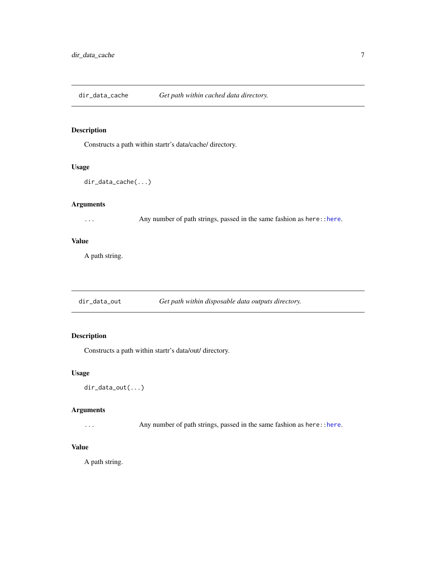<span id="page-6-0"></span>dir\_data\_cache *Get path within cached data directory.*

## Description

Constructs a path within startr's data/cache/ directory.

#### Usage

```
dir_data_cache(...)
```
## Arguments

... Any number of path strings, passed in the same fashion as here:[:here](#page-0-0).

#### Value

A path string.

dir\_data\_out *Get path within disposable data outputs directory.*

## Description

Constructs a path within startr's data/out/ directory.

#### Usage

dir\_data\_out(...)

#### Arguments

... Any number of path strings, passed in the same fashion as here:: here.

#### Value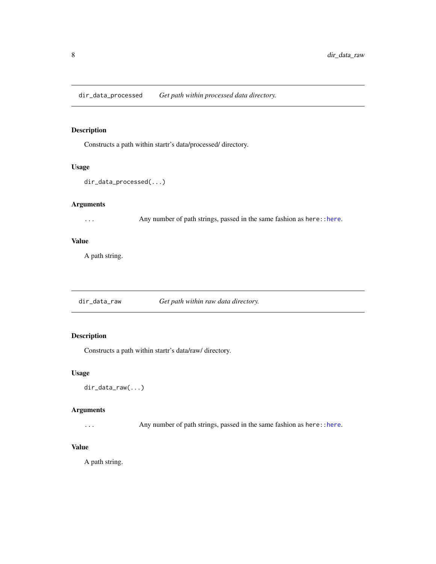<span id="page-7-0"></span>dir\_data\_processed *Get path within processed data directory.*

## Description

Constructs a path within startr's data/processed/ directory.

#### Usage

```
dir_data_processed(...)
```
#### Arguments

... Any number of path strings, passed in the same fashion as here:[:here](#page-0-0).

#### Value

A path string.

dir\_data\_raw *Get path within raw data directory.*

## Description

Constructs a path within startr's data/raw/ directory.

## Usage

dir\_data\_raw(...)

#### Arguments

... Any number of path strings, passed in the same fashion as here:: here.

#### Value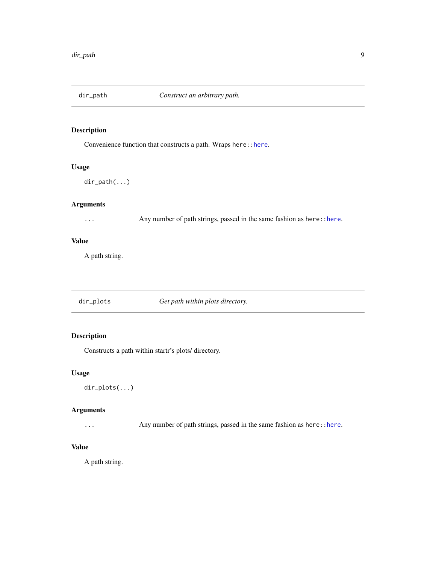<span id="page-8-0"></span>

Convenience function that constructs a path. Wraps here:[:here](#page-0-0).

## Usage

dir\_path(...)

## Arguments

... Any number of path strings, passed in the same fashion as here:: here.

#### Value

A path string.

| dir_plots | Get path within plots directory. |
|-----------|----------------------------------|
|           |                                  |

## Description

Constructs a path within startr's plots/ directory.

#### Usage

dir\_plots(...)

## Arguments

... Any number of path strings, passed in the same fashion as here:: here.

## Value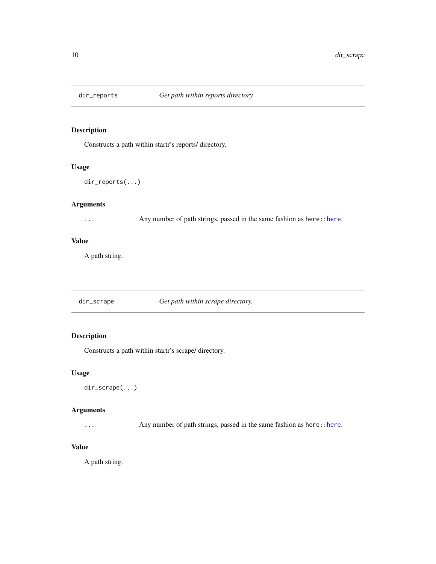<span id="page-9-0"></span>

Constructs a path within startr's reports/ directory.

#### Usage

dir\_reports(...)

#### Arguments

... Any number of path strings, passed in the same fashion as here:: here.

#### Value

A path string.

dir\_scrape *Get path within scrape directory.*

## Description

Constructs a path within startr's scrape/ directory.

## Usage

dir\_scrape(...)

## Arguments

... Any number of path strings, passed in the same fashion as here:: here.

#### Value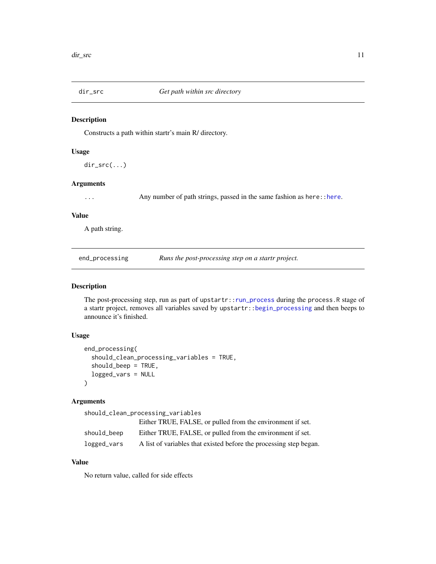<span id="page-10-0"></span>

Constructs a path within startr's main R/ directory.

#### Usage

dir\_src(...)

## Arguments

... Any number of path strings, passed in the same fashion as here:: here.

## Value

A path string.

<span id="page-10-1"></span>end\_processing *Runs the post-processing step on a startr project.*

#### Description

The post-processing step, run as part of upstartr:[:run\\_process](#page-16-1) during the process.R stage of a startr project, removes all variables saved by upstartr:[:begin\\_processing](#page-2-1) and then beeps to announce it's finished.

#### Usage

```
end_processing(
  should_clean_processing_variables = TRUE,
  should_beep = TRUE,
  logged_vars = NULL
)
```
#### Arguments

should\_clean\_processing\_variables

|             | Either TRUE, FALSE, or pulled from the environment if set.         |
|-------------|--------------------------------------------------------------------|
| should_beep | Either TRUE, FALSE, or pulled from the environment if set.         |
| logged_vars | A list of variables that existed before the processing step began. |

## Value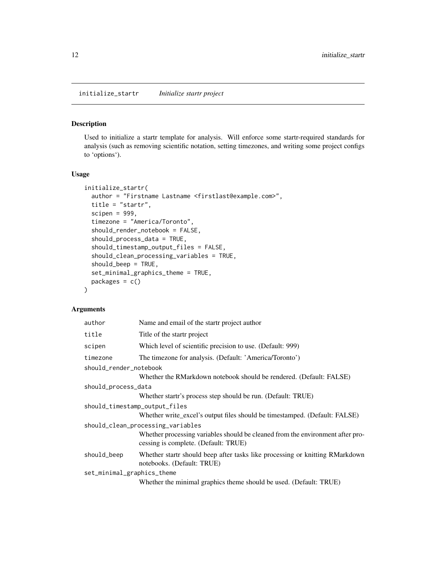<span id="page-11-0"></span>Used to initialize a startr template for analysis. Will enforce some startr-required standards for analysis (such as removing scientific notation, setting timezones, and writing some project configs to 'options').

## Usage

```
initialize_startr(
  author = "Firstname Lastname <firstlast@example.com>",
  title = "startr",
  scipen = 999,
  timezone = "America/Toronto",
  should_render_notebook = FALSE,
  should_process_data = TRUE,
  should_timestamp_output_files = FALSE,
  should_clean_processing_variables = TRUE,
  should_beep = TRUE,
  set_minimal_graphics_theme = TRUE,
  packages = c()\mathcal{E}
```
## Arguments

| author                        | Name and email of the startr project author                                                                            |
|-------------------------------|------------------------------------------------------------------------------------------------------------------------|
| title                         | Title of the startr project                                                                                            |
| scipen                        | Which level of scientific precision to use. (Default: 999)                                                             |
| timezone                      | The timezone for analysis. (Default: 'America/Toronto')                                                                |
| should_render_notebook        |                                                                                                                        |
|                               | Whether the RMarkdown notebook should be rendered. (Default: FALSE)                                                    |
| should_process_data           |                                                                                                                        |
|                               | Whether startr's process step should be run. (Default: TRUE)                                                           |
| should_timestamp_output_files |                                                                                                                        |
|                               | Whether write excel's output files should be timestamped. (Default: FALSE)                                             |
|                               | should_clean_processing_variables                                                                                      |
|                               | Whether processing variables should be cleaned from the environment after pro-<br>cessing is complete. (Default: TRUE) |
| should_beep                   | Whether start should beep after tasks like processing or knitting RMarkdown<br>notebooks. (Default: TRUE)              |
| set_minimal_graphics_theme    |                                                                                                                        |
|                               | Whether the minimal graphics theme should be used. (Default: TRUE)                                                     |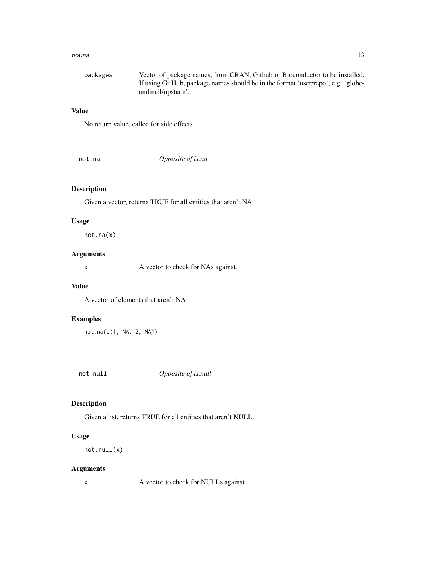#### <span id="page-12-0"></span>not.na and 13

| packages | Vector of package names, from CRAN, Github or Bioconductor to be installed.      |
|----------|----------------------------------------------------------------------------------|
|          | If using GitHub, package names should be in the format 'user/repo', e.g. 'globe- |
|          | andmail/upstartr'.                                                               |

## Value

No return value, called for side effects

not.na *Opposite of is.na*

## Description

Given a vector, returns TRUE for all entities that aren't NA.

## Usage

not.na(x)

## Arguments

x A vector to check for NAs against.

## Value

A vector of elements that aren't NA

## Examples

not.na(c(1, NA, 2, NA))

not.null *Opposite of is.null*

## Description

Given a list, returns TRUE for all entities that aren't NULL.

## Usage

```
not.null(x)
```
## Arguments

x A vector to check for NULLs against.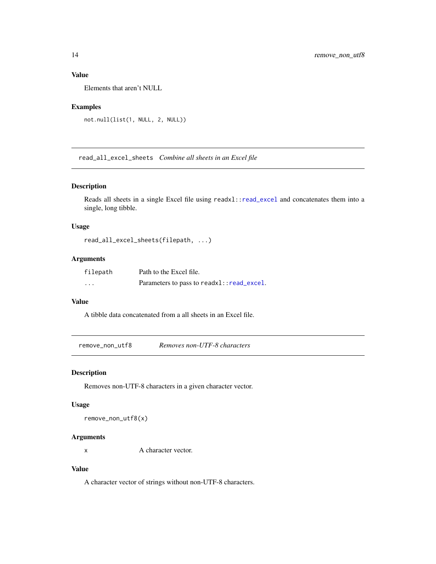## <span id="page-13-0"></span>Value

Elements that aren't NULL

## Examples

```
not.null(list(1, NULL, 2, NULL))
```
read\_all\_excel\_sheets *Combine all sheets in an Excel file*

## Description

Reads all sheets in a single Excel file using readxl:[:read\\_excel](#page-0-0) and concatenates them into a single, long tibble.

## Usage

```
read_all_excel_sheets(filepath, ...)
```
## Arguments

| filepath                | Path to the Excel file.                   |
|-------------------------|-------------------------------------------|
| $\cdot$ $\cdot$ $\cdot$ | Parameters to pass to readx1::read_excel. |

## Value

A tibble data concatenated from a all sheets in an Excel file.

remove\_non\_utf8 *Removes non-UTF-8 characters*

#### Description

Removes non-UTF-8 characters in a given character vector.

#### Usage

remove\_non\_utf8(x)

#### Arguments

x A character vector.

## Value

A character vector of strings without non-UTF-8 characters.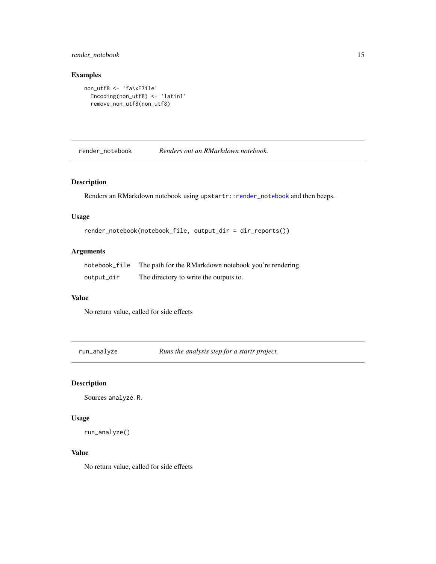## <span id="page-14-0"></span>render\_notebook 15

#### Examples

```
non_utf8 <- 'fa\xE7ile'
  Encoding(non_utf8) <- 'latin1'
  remove_non_utf8(non_utf8)
```
<span id="page-14-1"></span>render\_notebook *Renders out an RMarkdown notebook.*

## Description

Renders an RMarkdown notebook using upstartr:[:render\\_notebook](#page-14-1) and then beeps.

#### Usage

```
render_notebook(notebook_file, output_dir = dir_reports())
```
## Arguments

| notebook_file | The path for the RMarkdown notebook you're rendering. |
|---------------|-------------------------------------------------------|
| output_dir    | The directory to write the outputs to.                |

## Value

No return value, called for side effects

run\_analyze *Runs the analysis step for a startr project.*

## Description

```
Sources analyze.R.
```
#### Usage

```
run_analyze()
```
#### Value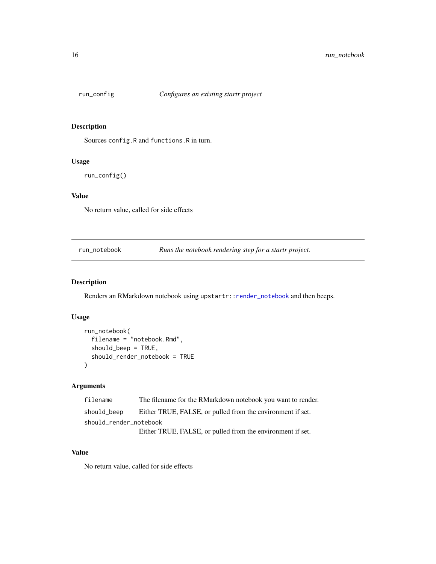<span id="page-15-0"></span>

Sources config.R and functions.R in turn.

## Usage

run\_config()

## Value

No return value, called for side effects

run\_notebook *Runs the notebook rendering step for a startr project.*

#### Description

Renders an RMarkdown notebook using upstartr:[:render\\_notebook](#page-14-1) and then beeps.

## Usage

```
run_notebook(
  filename = "notebook.Rmd",
  should_beep = TRUE,
  should_render_notebook = TRUE
\mathcal{E}
```
## Arguments

```
filename The filename for the RMarkdown notebook you want to render.
should_beep Either TRUE, FALSE, or pulled from the environment if set.
should_render_notebook
                Either TRUE, FALSE, or pulled from the environment if set.
```
## Value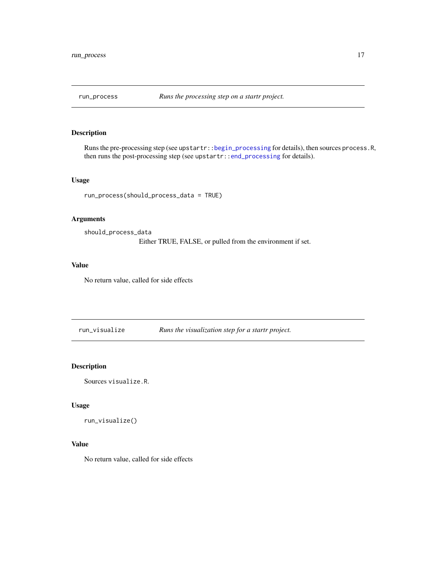<span id="page-16-1"></span><span id="page-16-0"></span>

Runs the pre-processing step (see upstartr:[:begin\\_processing](#page-2-1) for details), then sources process.R, then runs the post-processing step (see upstartr:[:end\\_processing](#page-10-1) for details).

#### Usage

run\_process(should\_process\_data = TRUE)

## Arguments

should\_process\_data Either TRUE, FALSE, or pulled from the environment if set.

#### Value

No return value, called for side effects

run\_visualize *Runs the visualization step for a startr project.*

## Description

Sources visualize.R.

#### Usage

```
run_visualize()
```
## Value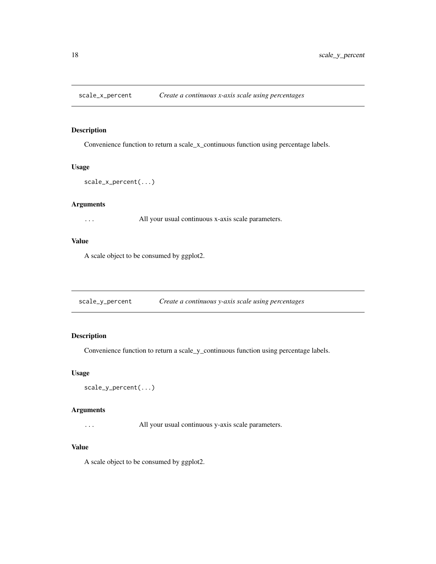<span id="page-17-0"></span>

Convenience function to return a scale\_x\_continuous function using percentage labels.

#### Usage

```
scale_x_percent(...)
```
#### Arguments

... All your usual continuous x-axis scale parameters.

#### Value

A scale object to be consumed by ggplot2.

scale\_y\_percent *Create a continuous y-axis scale using percentages*

## Description

Convenience function to return a scale\_y\_continuous function using percentage labels.

#### Usage

```
scale_y_percent(...)
```
#### Arguments

... All your usual continuous y-axis scale parameters.

#### Value

A scale object to be consumed by ggplot2.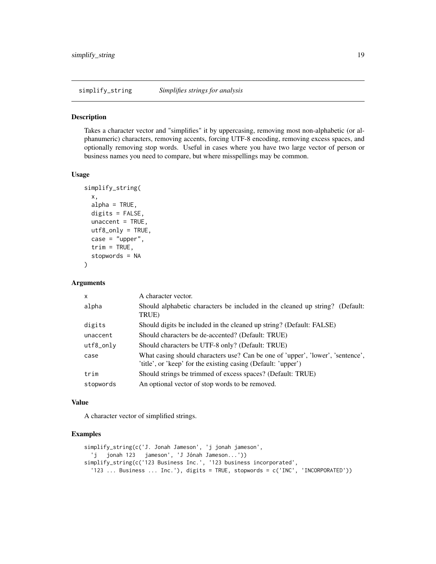<span id="page-18-0"></span>simplify\_string *Simplifies strings for analysis*

#### Description

Takes a character vector and "simplifies" it by uppercasing, removing most non-alphabetic (or alphanumeric) characters, removing accents, forcing UTF-8 encoding, removing excess spaces, and optionally removing stop words. Useful in cases where you have two large vector of person or business names you need to compare, but where misspellings may be common.

#### Usage

```
simplify_string(
 x,
 alpha = TRUE,digits = FALSE,
 uncent = TRUE,utf8_only = TRUE,
 case = "upper",
  trim = TRUE,stopwords = NA
)
```
#### Arguments

| $\mathsf{x}$ | A character vector.                                                                                                                             |
|--------------|-------------------------------------------------------------------------------------------------------------------------------------------------|
| alpha        | Should alphabetic characters be included in the cleaned up string? (Default:<br>TRUE)                                                           |
| digits       | Should digits be included in the cleaned up string? (Default: FALSE)                                                                            |
| unaccent     | Should characters be de-accented? (Default: TRUE)                                                                                               |
| utf8_only    | Should characters be UTF-8 only? (Default: TRUE)                                                                                                |
| case         | What casing should characters use? Can be one of 'upper', 'lower', 'sentence',<br>'title', or 'keep' for the existing casing (Default: 'upper') |
| trim         | Should strings be trimmed of excess spaces? (Default: TRUE)                                                                                     |
| stopwords    | An optional vector of stop words to be removed.                                                                                                 |

#### Value

A character vector of simplified strings.

## Examples

```
simplify_string(c('J. Jonah Jameson', 'j jonah jameson',
  'j jonah 123 jameson', 'J Jónah Jameson...'))
simplify_string(c('123 Business Inc.', '123 business incorporated',
  '123 ... Business ... Inc.'), digits = TRUE, stopwords = c('INC', 'INCORPORATED'))
```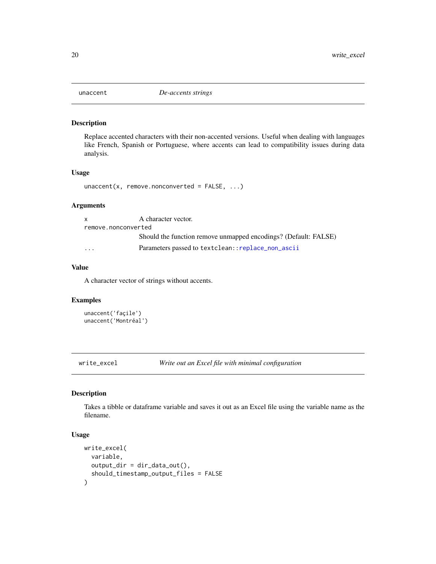<span id="page-19-0"></span>

Replace accented characters with their non-accented versions. Useful when dealing with languages like French, Spanish or Portuguese, where accents can lead to compatibility issues during data analysis.

#### Usage

 $unacent(x, remove.nonconverted = FALSE, ...)$ 

## Arguments

| X                   | A character vector.                                             |
|---------------------|-----------------------------------------------------------------|
| remove.nonconverted |                                                                 |
|                     | Should the function remove unmapped encodings? (Default: FALSE) |
| $\cdot$             | Parameters passed to textclean:: replace_non_ascii              |

#### Value

A character vector of strings without accents.

#### Examples

```
unaccent('façile')
unaccent('Montréal')
```
write\_excel *Write out an Excel file with minimal configuration*

## Description

Takes a tibble or dataframe variable and saves it out as an Excel file using the variable name as the filename.

## Usage

```
write_excel(
  variable,
  output\_dir = dir\_data\_out(),should_timestamp_output_files = FALSE
\mathcal{E}
```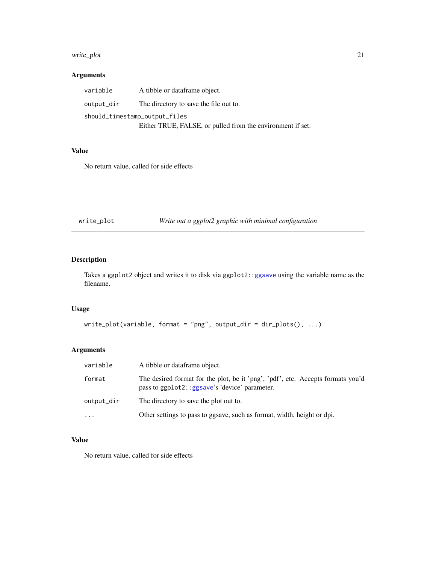## <span id="page-20-0"></span>write\_plot 21

## Arguments

| variable                      | A tibble or dataframe object.                              |
|-------------------------------|------------------------------------------------------------|
| output_dir                    | The directory to save the file out to.                     |
| should_timestamp_output_files |                                                            |
|                               | Either TRUE, FALSE, or pulled from the environment if set. |

#### Value

No return value, called for side effects

write\_plot *Write out a ggplot2 graphic with minimal configuration*

## Description

Takes a ggplot2 object and writes it to disk via ggplot2:[:ggsave](#page-0-0) using the variable name as the filename.

## Usage

```
write_plot(variable, format = "png", output_dir = dir_plots(), ...)
```
## Arguments

| variable   | A tibble or dataframe object.                                                                                                    |
|------------|----------------------------------------------------------------------------------------------------------------------------------|
| format     | The desired format for the plot, be it 'png', 'pdf', etc. Accepts formats you'd<br>pass to ggplot2::ggsave's 'device' parameter. |
| output_dir | The directory to save the plot out to.                                                                                           |
| $\ddotsc$  | Other settings to pass to ggsave, such as format, width, height or dpi.                                                          |

## Value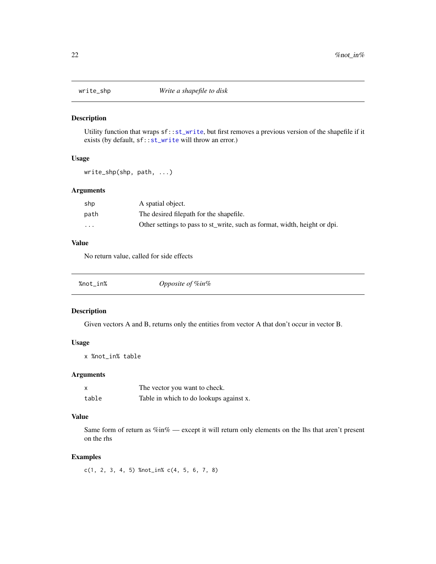<span id="page-21-0"></span>

Utility function that wraps sf:[:st\\_write](#page-0-0), but first removes a previous version of the shapefile if it exists (by default,  $sf::st\_write$  will throw an error.)

#### Usage

write\_shp(shp, path, ...)

## Arguments

| shp                     | A spatial object.                                                         |
|-------------------------|---------------------------------------------------------------------------|
| path                    | The desired filepath for the shapefile.                                   |
| $\cdot$ $\cdot$ $\cdot$ | Other settings to pass to st_write, such as format, width, height or dpi. |

#### Value

No return value, called for side effects

| %not_in% | Opposite of %in% |  |
|----------|------------------|--|
|----------|------------------|--|

## Description

Given vectors A and B, returns only the entities from vector A that don't occur in vector B.

#### Usage

x %not\_in% table

## Arguments

|       | The vector you want to check.           |
|-------|-----------------------------------------|
| table | Table in which to do lookups against x. |

#### Value

Same form of return as %in% — except it will return only elements on the lhs that aren't present on the rhs

#### Examples

c(1, 2, 3, 4, 5) %not\_in% c(4, 5, 6, 7, 8)